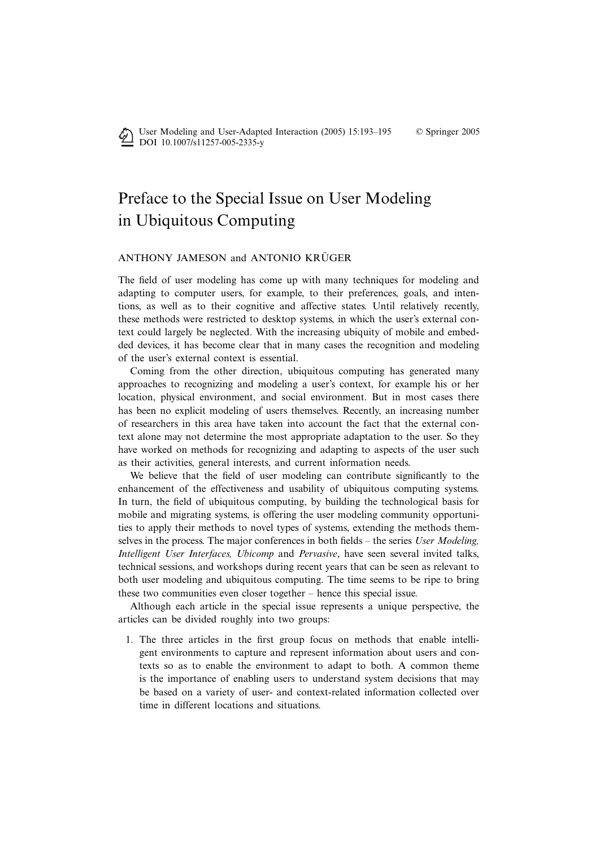# Preface to the Special Issue on User Modeling in Ubiquitous Computing

## ANTHONY JAMESON and ANTONIO KRÜGER

The field of user modeling has come up with many techniques for modeling and adapting to computer users, for example, to their preferences, goals, and intentions, as well as to their cognitive and affective states. Until relatively recently, these methods were restricted to desktop systems, in which the user's external context could largely be neglected. With the increasing ubiquity of mobile and embedded devices, it has become clear that in many cases the recognition and modeling of the user's external context is essential.

Coming from the other direction, ubiquitous computing has generated many approaches to recognizing and modeling a user's context, for example his or her location, physical environment, and social environment. But in most cases there has been no explicit modeling of users themselves. Recently, an increasing number of researchers in this area have taken into account the fact that the external context alone may not determine the most appropriate adaptation to the user. So they have worked on methods for recognizing and adapting to aspects of the user such as their activities, general interests, and current information needs.

We believe that the field of user modeling can contribute significantly to the enhancement of the effectiveness and usability of ubiquitous computing systems. In turn, the field of ubiquitous computing, by building the technological basis for mobile and migrating systems, is offering the user modeling community opportunities to apply their methods to novel types of systems, extending the methods themselves in the process. The major conferences in both fields – the series *User Modeling, Intelligent User Interfaces, Ubicomp* and *Pervasive*, have seen several invited talks, technical sessions, and workshops during recent years that can be seen as relevant to both user modeling and ubiquitous computing. The time seems to be ripe to bring these two communities even closer together – hence this special issue.

Although each article in the special issue represents a unique perspective, the articles can be divided roughly into two groups:

1. The three articles in the first group focus on methods that enable intelligent environments to capture and represent information about users and contexts so as to enable the environment to adapt to both. A common theme is the importance of enabling users to understand system decisions that may be based on a variety of user- and context-related information collected over time in different locations and situations.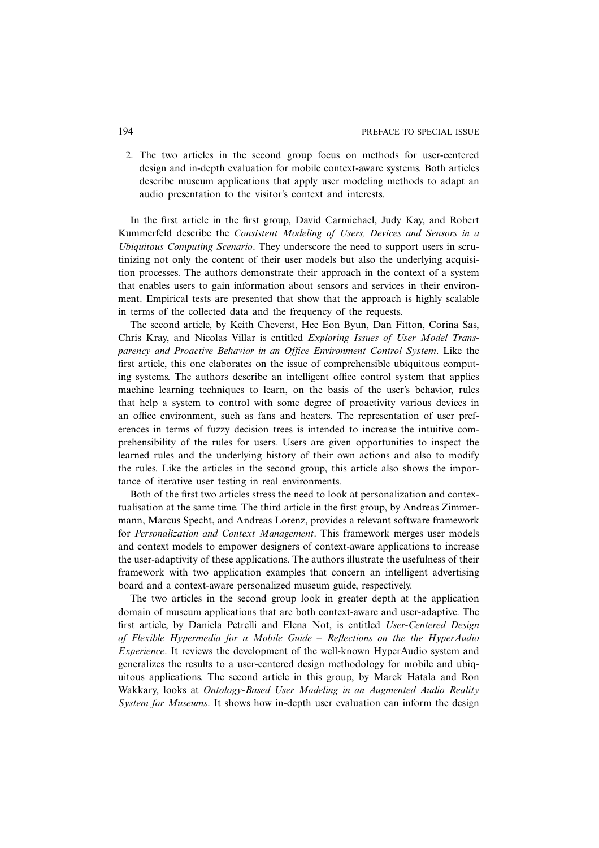2. The two articles in the second group focus on methods for user-centered design and in-depth evaluation for mobile context-aware systems. Both articles describe museum applications that apply user modeling methods to adapt an audio presentation to the visitor's context and interests.

In the first article in the first group, David Carmichael, Judy Kay, and Robert Kummerfeld describe the *Consistent Modeling of Users, Devices and Sensors in a Ubiquitous Computing Scenario*. They underscore the need to support users in scrutinizing not only the content of their user models but also the underlying acquisition processes. The authors demonstrate their approach in the context of a system that enables users to gain information about sensors and services in their environment. Empirical tests are presented that show that the approach is highly scalable in terms of the collected data and the frequency of the requests.

The second article, by Keith Cheverst, Hee Eon Byun, Dan Fitton, Corina Sas, Chris Kray, and Nicolas Villar is entitled *Exploring Issues of User Model Transparency and Proactive Behavior in an Office Environment Control System*. Like the first article, this one elaborates on the issue of comprehensible ubiquitous computing systems. The authors describe an intelligent office control system that applies machine learning techniques to learn, on the basis of the user's behavior, rules that help a system to control with some degree of proactivity various devices in an office environment, such as fans and heaters. The representation of user preferences in terms of fuzzy decision trees is intended to increase the intuitive comprehensibility of the rules for users. Users are given opportunities to inspect the learned rules and the underlying history of their own actions and also to modify the rules. Like the articles in the second group, this article also shows the importance of iterative user testing in real environments.

Both of the first two articles stress the need to look at personalization and contextualisation at the same time. The third article in the first group, by Andreas Zimmermann, Marcus Specht, and Andreas Lorenz, provides a relevant software framework for *Personalization and Context Management*. This framework merges user models and context models to empower designers of context-aware applications to increase the user-adaptivity of these applications. The authors illustrate the usefulness of their framework with two application examples that concern an intelligent advertising board and a context-aware personalized museum guide, respectively.

The two articles in the second group look in greater depth at the application domain of museum applications that are both context-aware and user-adaptive. The first article, by Daniela Petrelli and Elena Not, is entitled *User-Centered Design of Flexible Hypermedia for a Mobile Guide – Reflections on the the HyperAudio Experience*. It reviews the development of the well-known HyperAudio system and generalizes the results to a user-centered design methodology for mobile and ubiquitous applications. The second article in this group, by Marek Hatala and Ron Wakkary, looks at *Ontology-Based User Modeling in an Augmented Audio Reality System for Museums*. It shows how in-depth user evaluation can inform the design